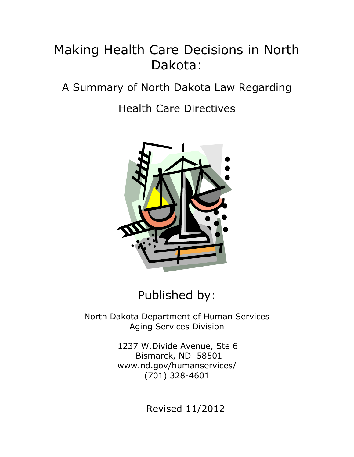# Making Health Care Decisions in North Dakota:

A Summary of North Dakota Law Regarding

Health Care Directives



# Published by:

North Dakota Department of Human Services Aging Services Division

> 1237 W.Divide Avenue, Ste 6 Bismarck, ND 58501 www.nd.gov/humanservices/ (701) 328-4601

> > Revised 11/2012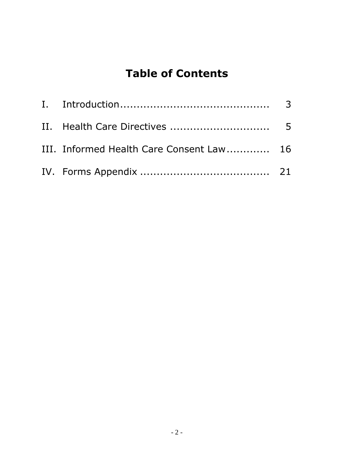# **Table of Contents**

| III. Informed Health Care Consent Law 16 |  |
|------------------------------------------|--|
|                                          |  |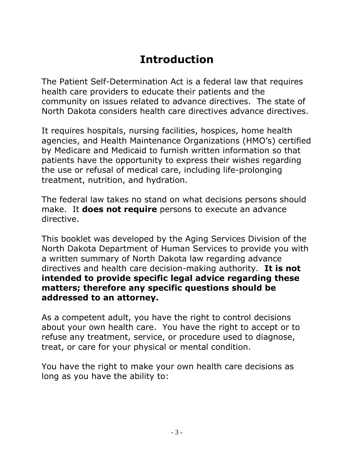# **Introduction**

The Patient Self-Determination Act is a federal law that requires health care providers to educate their patients and the community on issues related to advance directives. The state of North Dakota considers health care directives advance directives.

It requires hospitals, nursing facilities, hospices, home health agencies, and Health Maintenance Organizations (HMO's) certified by Medicare and Medicaid to furnish written information so that patients have the opportunity to express their wishes regarding the use or refusal of medical care, including life-prolonging treatment, nutrition, and hydration.

The federal law takes no stand on what decisions persons should make. It **does not require** persons to execute an advance directive.

This booklet was developed by the Aging Services Division of the North Dakota Department of Human Services to provide you with a written summary of North Dakota law regarding advance directives and health care decision-making authority. **It is not intended to provide specific legal advice regarding these matters; therefore any specific questions should be addressed to an attorney.** 

As a competent adult, you have the right to control decisions about your own health care. You have the right to accept or to refuse any treatment, service, or procedure used to diagnose, treat, or care for your physical or mental condition.

You have the right to make your own health care decisions as long as you have the ability to: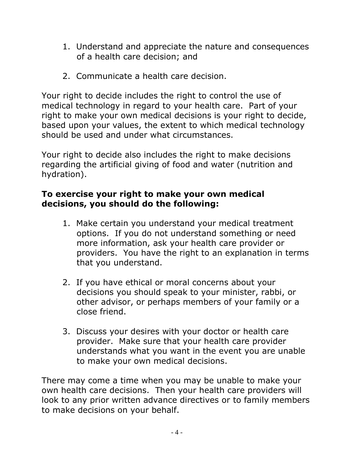- 1. Understand and appreciate the nature and consequences of a health care decision; and
- 2. Communicate a health care decision.

Your right to decide includes the right to control the use of medical technology in regard to your health care. Part of your right to make your own medical decisions is your right to decide, based upon your values, the extent to which medical technology should be used and under what circumstances.

Your right to decide also includes the right to make decisions regarding the artificial giving of food and water (nutrition and hydration).

#### **To exercise your right to make your own medical decisions, you should do the following:**

- 1. Make certain you understand your medical treatment options. If you do not understand something or need more information, ask your health care provider or providers. You have the right to an explanation in terms that you understand.
- 2. If you have ethical or moral concerns about your decisions you should speak to your minister, rabbi, or other advisor, or perhaps members of your family or a close friend.
- 3. Discuss your desires with your doctor or health care provider. Make sure that your health care provider understands what you want in the event you are unable to make your own medical decisions.

There may come a time when you may be unable to make your own health care decisions. Then your health care providers will look to any prior written advance directives or to family members to make decisions on your behalf.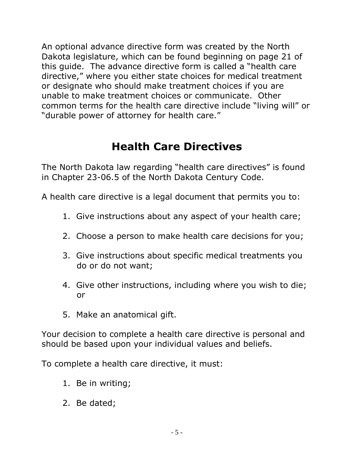An optional advance directive form was created by the North Dakota legislature, which can be found beginning on page 21 of this guide. The advance directive form is called a "health care directive," where you either state choices for medical treatment or designate who should make treatment choices if you are unable to make treatment choices or communicate. Other common terms for the health care directive include "living will" or "durable power of attorney for health care."

# **Health Care Directives**

The North Dakota law regarding "health care directives" is found in Chapter 23-06.5 of the North Dakota Century Code.

A health care directive is a legal document that permits you to:

- 1. Give instructions about any aspect of your health care;
- 2. Choose a person to make health care decisions for you;
- 3. Give instructions about specific medical treatments you do or do not want;
- 4. Give other instructions, including where you wish to die; or
- 5. Make an anatomical gift.

Your decision to complete a health care directive is personal and should be based upon your individual values and beliefs.

To complete a health care directive, it must:

- 1. Be in writing;
- 2. Be dated;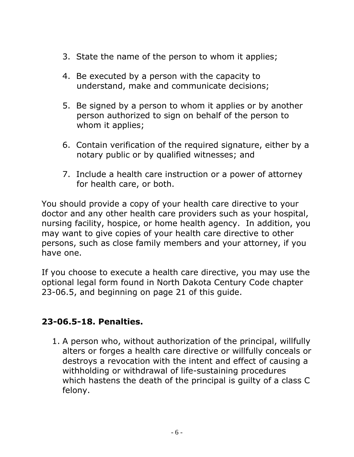- 3. State the name of the person to whom it applies;
- 4. Be executed by a person with the capacity to understand, make and communicate decisions;
- 5. Be signed by a person to whom it applies or by another person authorized to sign on behalf of the person to whom it applies;
- 6. Contain verification of the required signature, either by a notary public or by qualified witnesses; and
- 7. Include a health care instruction or a power of attorney for health care, or both.

You should provide a copy of your health care directive to your doctor and any other health care providers such as your hospital, nursing facility, hospice, or home health agency. In addition, you may want to give copies of your health care directive to other persons, such as close family members and your attorney, if you have one.

If you choose to execute a health care directive, you may use the optional legal form found in North Dakota Century Code chapter 23-06.5, and beginning on page 21 of this guide.

#### **23-06.5-18. Penalties.**

1. A person who, without authorization of the principal, willfully alters or forges a health care directive or willfully conceals or destroys a revocation with the intent and effect of causing a withholding or withdrawal of life-sustaining procedures which hastens the death of the principal is guilty of a class C felony.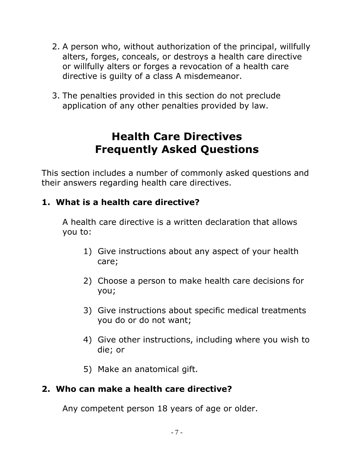- 2. A person who, without authorization of the principal, willfully alters, forges, conceals, or destroys a health care directive or willfully alters or forges a revocation of a health care directive is guilty of a class A misdemeanor.
- 3. The penalties provided in this section do not preclude application of any other penalties provided by law.

# **Health Care Directives Frequently Asked Questions**

This section includes a number of commonly asked questions and their answers regarding health care directives.

### **1. What is a health care directive?**

 A health care directive is a written declaration that allows you to:

- 1) Give instructions about any aspect of your health care;
- 2) Choose a person to make health care decisions for you;
- 3) Give instructions about specific medical treatments you do or do not want;
- 4) Give other instructions, including where you wish to die; or
- 5) Make an anatomical gift.

### **2. Who can make a health care directive?**

Any competent person 18 years of age or older.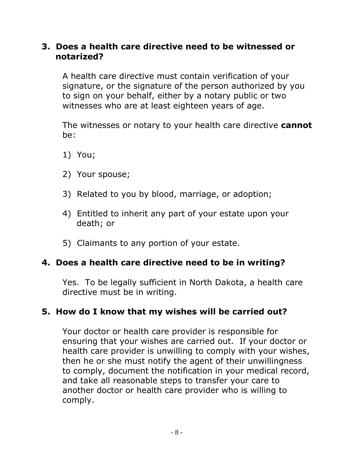#### **3. Does a health care directive need to be witnessed or notarized?**

A health care directive must contain verification of your signature, or the signature of the person authorized by you to sign on your behalf, either by a notary public or two witnesses who are at least eighteen years of age.

 The witnesses or notary to your health care directive **cannot** be:

- 1) You;
- 2) Your spouse;
- 3) Related to you by blood, marriage, or adoption;
- 4) Entitled to inherit any part of your estate upon your death; or
- 5) Claimants to any portion of your estate.

#### **4. Does a health care directive need to be in writing?**

 Yes. To be legally sufficient in North Dakota, a health care directive must be in writing.

#### **5. How do I know that my wishes will be carried out?**

 Your doctor or health care provider is responsible for ensuring that your wishes are carried out. If your doctor or health care provider is unwilling to comply with your wishes, then he or she must notify the agent of their unwillingness to comply, document the notification in your medical record, and take all reasonable steps to transfer your care to another doctor or health care provider who is willing to comply.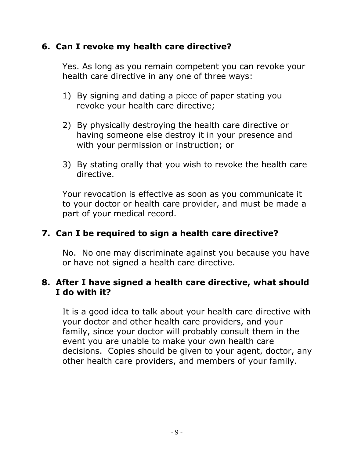#### **6. Can I revoke my health care directive?**

 Yes. As long as you remain competent you can revoke your health care directive in any one of three ways:

- 1) By signing and dating a piece of paper stating you revoke your health care directive;
- 2) By physically destroying the health care directive or having someone else destroy it in your presence and with your permission or instruction; or
- 3) By stating orally that you wish to revoke the health care directive.

Your revocation is effective as soon as you communicate it to your doctor or health care provider, and must be made a part of your medical record.

#### **7. Can I be required to sign a health care directive?**

No. No one may discriminate against you because you have or have not signed a health care directive.

#### **8. After I have signed a health care directive, what should I do with it?**

It is a good idea to talk about your health care directive with your doctor and other health care providers, and your family, since your doctor will probably consult them in the event you are unable to make your own health care decisions. Copies should be given to your agent, doctor, any other health care providers, and members of your family.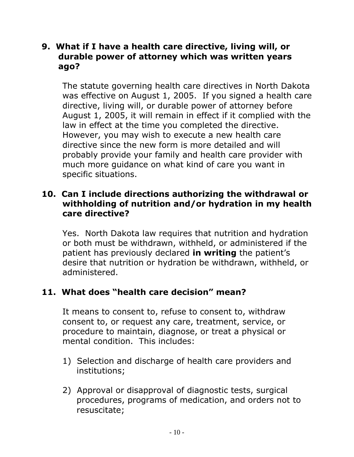#### **9. What if I have a health care directive, living will, or durable power of attorney which was written years ago?**

 The statute governing health care directives in North Dakota was effective on August 1, 2005. If you signed a health care directive, living will, or durable power of attorney before August 1, 2005, it will remain in effect if it complied with the law in effect at the time you completed the directive. However, you may wish to execute a new health care directive since the new form is more detailed and will probably provide your family and health care provider with much more guidance on what kind of care you want in specific situations.

#### **10. Can I include directions authorizing the withdrawal or withholding of nutrition and/or hydration in my health care directive?**

Yes. North Dakota law requires that nutrition and hydration or both must be withdrawn, withheld, or administered if the patient has previously declared **in writing** the patient's desire that nutrition or hydration be withdrawn, withheld, or administered.

#### **11. What does "health care decision" mean?**

 It means to consent to, refuse to consent to, withdraw consent to, or request any care, treatment, service, or procedure to maintain, diagnose, or treat a physical or mental condition. This includes:

- 1) Selection and discharge of health care providers and institutions;
- 2) Approval or disapproval of diagnostic tests, surgical procedures, programs of medication, and orders not to resuscitate;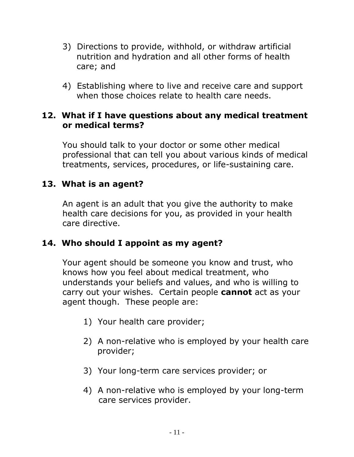- 3) Directions to provide, withhold, or withdraw artificial nutrition and hydration and all other forms of health care; and
- 4) Establishing where to live and receive care and support when those choices relate to health care needs.

#### **12. What if I have questions about any medical treatment or medical terms?**

 You should talk to your doctor or some other medical professional that can tell you about various kinds of medical treatments, services, procedures, or life-sustaining care.

#### **13. What is an agent?**

 An agent is an adult that you give the authority to make health care decisions for you, as provided in your health care directive.

#### **14. Who should I appoint as my agent?**

 Your agent should be someone you know and trust, who knows how you feel about medical treatment, who understands your beliefs and values, and who is willing to carry out your wishes. Certain people **cannot** act as your agent though. These people are:

- 1) Your health care provider;
- 2) A non-relative who is employed by your health care provider;
- 3) Your long-term care services provider; or
- 4) A non-relative who is employed by your long-term care services provider.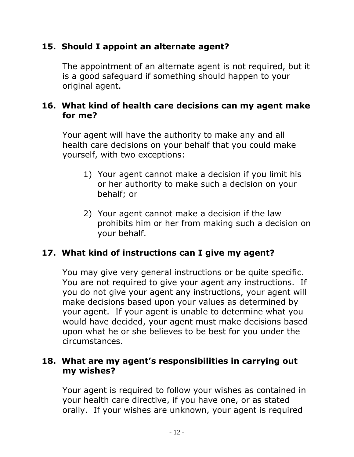#### **15. Should I appoint an alternate agent?**

The appointment of an alternate agent is not required, but it is a good safeguard if something should happen to your original agent.

#### **16. What kind of health care decisions can my agent make for me?**

 Your agent will have the authority to make any and all health care decisions on your behalf that you could make yourself, with two exceptions:

- 1) Your agent cannot make a decision if you limit his or her authority to make such a decision on your behalf; or
- 2) Your agent cannot make a decision if the law prohibits him or her from making such a decision on your behalf.

#### **17. What kind of instructions can I give my agent?**

You may give very general instructions or be quite specific. You are not required to give your agent any instructions. If you do not give your agent any instructions, your agent will make decisions based upon your values as determined by your agent. If your agent is unable to determine what you would have decided, your agent must make decisions based upon what he or she believes to be best for you under the circumstances.

#### **18. What are my agent's responsibilities in carrying out my wishes?**

 Your agent is required to follow your wishes as contained in your health care directive, if you have one, or as stated orally. If your wishes are unknown, your agent is required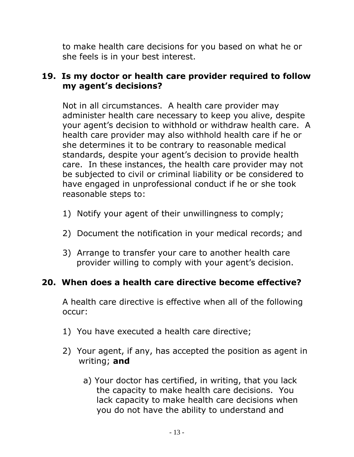to make health care decisions for you based on what he or she feels is in your best interest.

#### **19. Is my doctor or health care provider required to follow my agent's decisions?**

Not in all circumstances. A health care provider may administer health care necessary to keep you alive, despite your agent's decision to withhold or withdraw health care. A health care provider may also withhold health care if he or she determines it to be contrary to reasonable medical standards, despite your agent's decision to provide health care. In these instances, the health care provider may not be subjected to civil or criminal liability or be considered to have engaged in unprofessional conduct if he or she took reasonable steps to:

- 1) Notify your agent of their unwillingness to comply;
- 2) Document the notification in your medical records; and
- 3) Arrange to transfer your care to another health care provider willing to comply with your agent's decision.

#### **20. When does a health care directive become effective?**

 A health care directive is effective when all of the following occur:

- 1) You have executed a health care directive;
- 2) Your agent, if any, has accepted the position as agent in writing; **and**
	- a) Your doctor has certified, in writing, that you lack the capacity to make health care decisions. You lack capacity to make health care decisions when you do not have the ability to understand and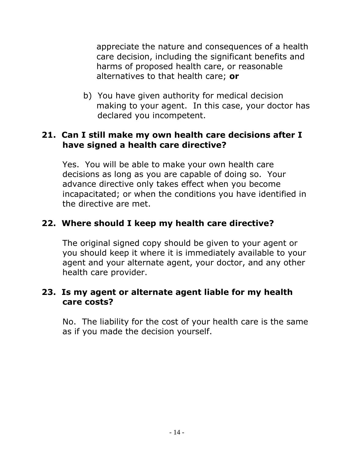appreciate the nature and consequences of a health care decision, including the significant benefits and harms of proposed health care, or reasonable alternatives to that health care; **or**

 b) You have given authority for medical decision making to your agent. In this case, your doctor has declared you incompetent.

#### **21. Can I still make my own health care decisions after I have signed a health care directive?**

 Yes. You will be able to make your own health care decisions as long as you are capable of doing so. Your advance directive only takes effect when you become incapacitated; or when the conditions you have identified in the directive are met.

#### **22. Where should I keep my health care directive?**

 The original signed copy should be given to your agent or you should keep it where it is immediately available to your agent and your alternate agent, your doctor, and any other health care provider.

#### **23. Is my agent or alternate agent liable for my health care costs?**

 No. The liability for the cost of your health care is the same as if you made the decision yourself.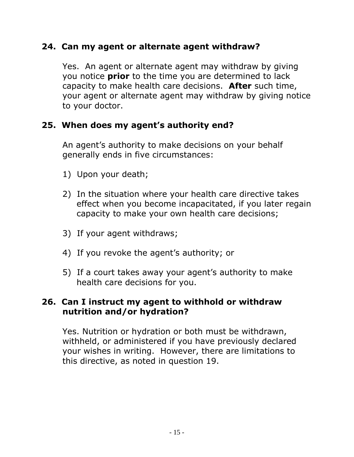#### **24. Can my agent or alternate agent withdraw?**

 Yes. An agent or alternate agent may withdraw by giving you notice **prior** to the time you are determined to lack capacity to make health care decisions. **After** such time, your agent or alternate agent may withdraw by giving notice to your doctor.

#### **25. When does my agent's authority end?**

An agent's authority to make decisions on your behalf generally ends in five circumstances:

- 1) Upon your death;
- 2) In the situation where your health care directive takes effect when you become incapacitated, if you later regain capacity to make your own health care decisions;
- 3) If your agent withdraws;
- 4) If you revoke the agent's authority; or
- 5) If a court takes away your agent's authority to make health care decisions for you.

#### **26. Can I instruct my agent to withhold or withdraw nutrition and/or hydration?**

Yes. Nutrition or hydration or both must be withdrawn, withheld, or administered if you have previously declared your wishes in writing. However, there are limitations to this directive, as noted in question 19.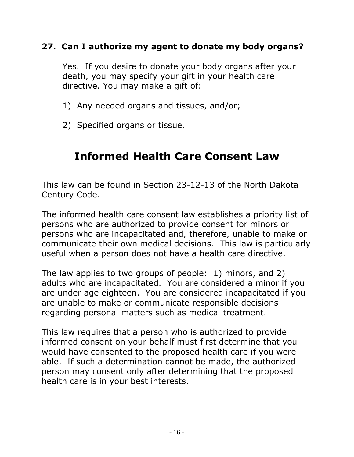#### **27. Can I authorize my agent to donate my body organs?**

Yes. If you desire to donate your body organs after your death, you may specify your gift in your health care directive. You may make a gift of:

- 1) Any needed organs and tissues, and/or;
- 2) Specified organs or tissue.

# **Informed Health Care Consent Law**

This law can be found in Section 23-12-13 of the North Dakota Century Code.

The informed health care consent law establishes a priority list of persons who are authorized to provide consent for minors or persons who are incapacitated and, therefore, unable to make or communicate their own medical decisions. This law is particularly useful when a person does not have a health care directive.

The law applies to two groups of people: 1) minors, and 2) adults who are incapacitated. You are considered a minor if you are under age eighteen. You are considered incapacitated if you are unable to make or communicate responsible decisions regarding personal matters such as medical treatment.

This law requires that a person who is authorized to provide informed consent on your behalf must first determine that you would have consented to the proposed health care if you were able. If such a determination cannot be made, the authorized person may consent only after determining that the proposed health care is in your best interests.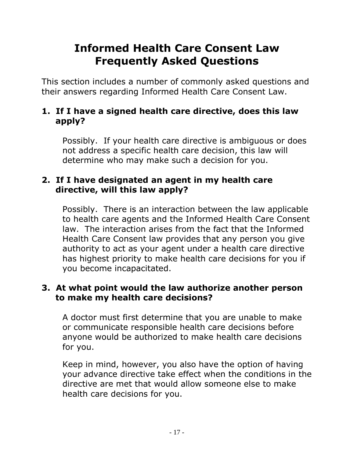# **Informed Health Care Consent Law Frequently Asked Questions**

This section includes a number of commonly asked questions and their answers regarding Informed Health Care Consent Law.

#### **1. If I have a signed health care directive, does this law apply?**

Possibly. If your health care directive is ambiguous or does not address a specific health care decision, this law will determine who may make such a decision for you.

#### **2. If I have designated an agent in my health care directive, will this law apply?**

Possibly. There is an interaction between the law applicable to health care agents and the Informed Health Care Consent law. The interaction arises from the fact that the Informed Health Care Consent law provides that any person you give authority to act as your agent under a health care directive has highest priority to make health care decisions for you if you become incapacitated.

#### **3. At what point would the law authorize another person to make my health care decisions?**

A doctor must first determine that you are unable to make or communicate responsible health care decisions before anyone would be authorized to make health care decisions for you.

Keep in mind, however, you also have the option of having your advance directive take effect when the conditions in the directive are met that would allow someone else to make health care decisions for you.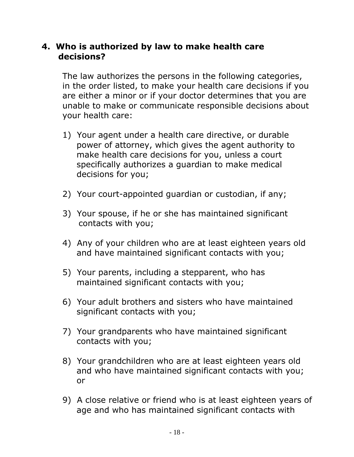#### **4. Who is authorized by law to make health care decisions?**

The law authorizes the persons in the following categories, in the order listed, to make your health care decisions if you are either a minor or if your doctor determines that you are unable to make or communicate responsible decisions about your health care:

- 1) Your agent under a health care directive, or durable power of attorney, which gives the agent authority to make health care decisions for you, unless a court specifically authorizes a guardian to make medical decisions for you;
- 2) Your court-appointed guardian or custodian, if any;
- 3) Your spouse, if he or she has maintained significant contacts with you;
- 4) Any of your children who are at least eighteen years old and have maintained significant contacts with you;
- 5) Your parents, including a stepparent, who has maintained significant contacts with you;
- 6) Your adult brothers and sisters who have maintained significant contacts with you;
- 7) Your grandparents who have maintained significant contacts with you;
- 8) Your grandchildren who are at least eighteen years old and who have maintained significant contacts with you; or
- 9) A close relative or friend who is at least eighteen years of age and who has maintained significant contacts with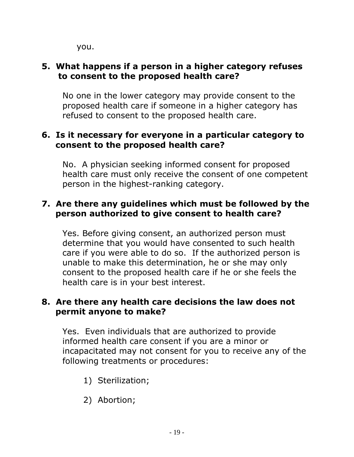you.

#### **5. What happens if a person in a higher category refuses to consent to the proposed health care?**

 No one in the lower category may provide consent to the proposed health care if someone in a higher category has refused to consent to the proposed health care.

#### **6. Is it necessary for everyone in a particular category to consent to the proposed health care?**

No. A physician seeking informed consent for proposed health care must only receive the consent of one competent person in the highest-ranking category.

#### **7. Are there any guidelines which must be followed by the person authorized to give consent to health care?**

Yes. Before giving consent, an authorized person must determine that you would have consented to such health care if you were able to do so. If the authorized person is unable to make this determination, he or she may only consent to the proposed health care if he or she feels the health care is in your best interest.

#### **8. Are there any health care decisions the law does not permit anyone to make?**

Yes. Even individuals that are authorized to provide informed health care consent if you are a minor or incapacitated may not consent for you to receive any of the following treatments or procedures:

- 1) Sterilization;
- 2) Abortion;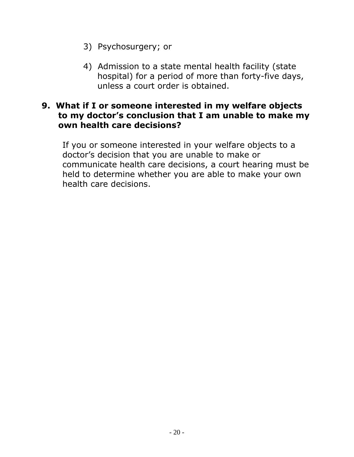- 3) Psychosurgery; or
- 4) Admission to a state mental health facility (state hospital) for a period of more than forty-five days, unless a court order is obtained.

#### **9. What if I or someone interested in my welfare objects to my doctor's conclusion that I am unable to make my own health care decisions?**

 If you or someone interested in your welfare objects to a doctor's decision that you are unable to make or communicate health care decisions, a court hearing must be held to determine whether you are able to make your own health care decisions.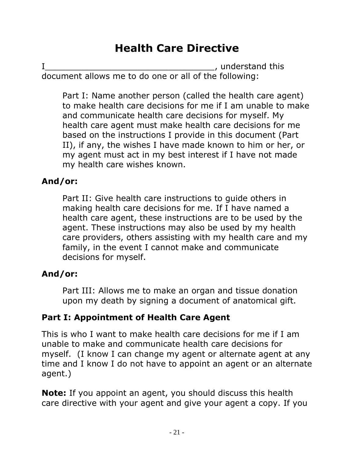# **Health Care Directive**

I consider the contract of the contract of the contract of the contract of the contract of the contract of the contract of the contract of the contract of the contract of the contract of the contract of the contract of the document allows me to do one or all of the following:

 Part I: Name another person (called the health care agent) to make health care decisions for me if I am unable to make and communicate health care decisions for myself. My health care agent must make health care decisions for me based on the instructions I provide in this document (Part II), if any, the wishes I have made known to him or her, or my agent must act in my best interest if I have not made my health care wishes known.

### **And/or:**

 Part II: Give health care instructions to guide others in making health care decisions for me. If I have named a health care agent, these instructions are to be used by the agent. These instructions may also be used by my health care providers, others assisting with my health care and my family, in the event I cannot make and communicate decisions for myself.

### **And/or:**

 Part III: Allows me to make an organ and tissue donation upon my death by signing a document of anatomical gift.

### **Part I: Appointment of Health Care Agent**

This is who I want to make health care decisions for me if I am unable to make and communicate health care decisions for myself. (I know I can change my agent or alternate agent at any time and I know I do not have to appoint an agent or an alternate agent.)

**Note:** If you appoint an agent, you should discuss this health care directive with your agent and give your agent a copy. If you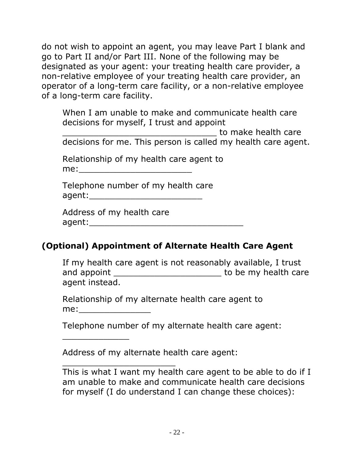do not wish to appoint an agent, you may leave Part I blank and go to Part II and/or Part III. None of the following may be designated as your agent: your treating health care provider, a non-relative employee of your treating health care provider, an operator of a long-term care facility, or a non-relative employee of a long-term care facility.

 When I am unable to make and communicate health care decisions for myself, I trust and appoint

\_\_\_\_\_\_\_\_\_\_\_\_\_\_\_\_\_\_\_\_\_\_\_\_\_\_\_\_\_\_ to make health care decisions for me. This person is called my health care agent.

Relationship of my health care agent to me:\_\_\_\_\_\_\_\_\_\_\_\_\_\_\_\_\_\_\_\_\_\_

Telephone number of my health care agent:\_\_\_\_\_\_\_\_\_\_\_\_\_\_\_\_\_\_\_\_\_\_

Address of my health care agent:

 $\overline{\phantom{a}}$  , where  $\overline{\phantom{a}}$ 

\_\_\_\_\_\_\_\_\_\_\_\_\_\_\_\_\_\_\_\_\_\_

#### **(Optional) Appointment of Alternate Health Care Agent**

 If my health care agent is not reasonably available, I trust and appoint \_\_\_\_\_\_\_\_\_\_\_\_\_\_\_\_\_\_\_\_\_\_\_\_\_\_\_\_\_ to be my health care agent instead.

Relationship of my alternate health care agent to  $me:$ 

Telephone number of my alternate health care agent:

Address of my alternate health care agent:

 This is what I want my health care agent to be able to do if I am unable to make and communicate health care decisions for myself (I do understand I can change these choices):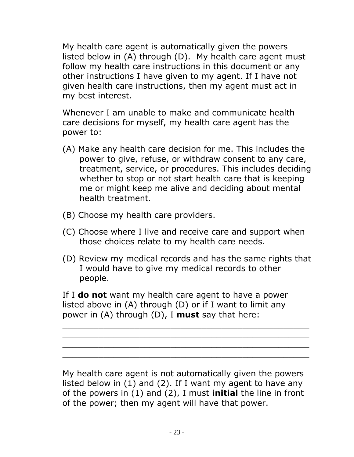My health care agent is automatically given the powers listed below in (A) through (D). My health care agent must follow my health care instructions in this document or any other instructions I have given to my agent. If I have not given health care instructions, then my agent must act in my best interest.

Whenever I am unable to make and communicate health care decisions for myself, my health care agent has the power to:

- (A) Make any health care decision for me. This includes the power to give, refuse, or withdraw consent to any care, treatment, service, or procedures. This includes deciding whether to stop or not start health care that is keeping me or might keep me alive and deciding about mental health treatment.
- (B) Choose my health care providers.
- (C) Choose where I live and receive care and support when those choices relate to my health care needs.
- (D) Review my medical records and has the same rights that I would have to give my medical records to other people.

If I **do not** want my health care agent to have a power listed above in (A) through (D) or if I want to limit any power in (A) through (D), I **must** say that here:

\_\_\_\_\_\_\_\_\_\_\_\_\_\_\_\_\_\_\_\_\_\_\_\_\_\_\_\_\_\_\_\_\_\_\_\_\_\_\_\_\_\_\_\_\_\_\_\_ \_\_\_\_\_\_\_\_\_\_\_\_\_\_\_\_\_\_\_\_\_\_\_\_\_\_\_\_\_\_\_\_\_\_\_\_\_\_\_\_\_\_\_\_\_\_\_\_ \_\_\_\_\_\_\_\_\_\_\_\_\_\_\_\_\_\_\_\_\_\_\_\_\_\_\_\_\_\_\_\_\_\_\_\_\_\_\_\_\_\_\_\_\_\_\_\_ \_\_\_\_\_\_\_\_\_\_\_\_\_\_\_\_\_\_\_\_\_\_\_\_\_\_\_\_\_\_\_\_\_\_\_\_\_\_\_\_\_\_\_\_\_\_\_\_

 My health care agent is not automatically given the powers listed below in (1) and (2). If I want my agent to have any of the powers in (1) and (2), I must **initial** the line in front of the power; then my agent will have that power.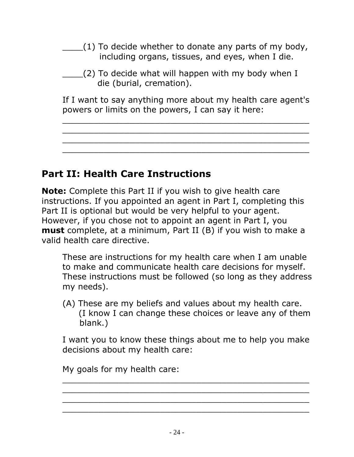- $\Box$  (1) To decide whether to donate any parts of my body, including organs, tissues, and eyes, when I die.
- \_\_\_\_(2) To decide what will happen with my body when I die (burial, cremation).

 If I want to say anything more about my health care agent's powers or limits on the powers, I can say it here:

\_\_\_\_\_\_\_\_\_\_\_\_\_\_\_\_\_\_\_\_\_\_\_\_\_\_\_\_\_\_\_\_\_\_\_\_\_\_\_\_\_\_\_\_\_\_\_\_ \_\_\_\_\_\_\_\_\_\_\_\_\_\_\_\_\_\_\_\_\_\_\_\_\_\_\_\_\_\_\_\_\_\_\_\_\_\_\_\_\_\_\_\_\_\_\_\_ \_\_\_\_\_\_\_\_\_\_\_\_\_\_\_\_\_\_\_\_\_\_\_\_\_\_\_\_\_\_\_\_\_\_\_\_\_\_\_\_\_\_\_\_\_\_\_\_ \_\_\_\_\_\_\_\_\_\_\_\_\_\_\_\_\_\_\_\_\_\_\_\_\_\_\_\_\_\_\_\_\_\_\_\_\_\_\_\_\_\_\_\_\_\_\_\_

### **Part II: Health Care Instructions**

**Note:** Complete this Part II if you wish to give health care instructions. If you appointed an agent in Part I, completing this Part II is optional but would be very helpful to your agent. However, if you chose not to appoint an agent in Part I, you **must** complete, at a minimum, Part II (B) if you wish to make a valid health care directive.

 These are instructions for my health care when I am unable to make and communicate health care decisions for myself. These instructions must be followed (so long as they address my needs).

 (A) These are my beliefs and values about my health care. (I know I can change these choices or leave any of them blank.)

 I want you to know these things about me to help you make decisions about my health care:

\_\_\_\_\_\_\_\_\_\_\_\_\_\_\_\_\_\_\_\_\_\_\_\_\_\_\_\_\_\_\_\_\_\_\_\_\_\_\_\_\_\_\_\_\_\_\_\_ \_\_\_\_\_\_\_\_\_\_\_\_\_\_\_\_\_\_\_\_\_\_\_\_\_\_\_\_\_\_\_\_\_\_\_\_\_\_\_\_\_\_\_\_\_\_\_\_ \_\_\_\_\_\_\_\_\_\_\_\_\_\_\_\_\_\_\_\_\_\_\_\_\_\_\_\_\_\_\_\_\_\_\_\_\_\_\_\_\_\_\_\_\_\_\_\_ \_\_\_\_\_\_\_\_\_\_\_\_\_\_\_\_\_\_\_\_\_\_\_\_\_\_\_\_\_\_\_\_\_\_\_\_\_\_\_\_\_\_\_\_\_\_\_\_

My goals for my health care: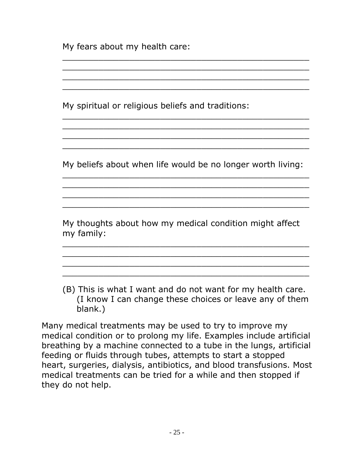My fears about my health care:

My spiritual or religious beliefs and traditions:

 My beliefs about when life would be no longer worth living: \_\_\_\_\_\_\_\_\_\_\_\_\_\_\_\_\_\_\_\_\_\_\_\_\_\_\_\_\_\_\_\_\_\_\_\_\_\_\_\_\_\_\_\_\_\_\_\_

\_\_\_\_\_\_\_\_\_\_\_\_\_\_\_\_\_\_\_\_\_\_\_\_\_\_\_\_\_\_\_\_\_\_\_\_\_\_\_\_\_\_\_\_\_\_\_\_ \_\_\_\_\_\_\_\_\_\_\_\_\_\_\_\_\_\_\_\_\_\_\_\_\_\_\_\_\_\_\_\_\_\_\_\_\_\_\_\_\_\_\_\_\_\_\_\_ \_\_\_\_\_\_\_\_\_\_\_\_\_\_\_\_\_\_\_\_\_\_\_\_\_\_\_\_\_\_\_\_\_\_\_\_\_\_\_\_\_\_\_\_\_\_\_\_

\_\_\_\_\_\_\_\_\_\_\_\_\_\_\_\_\_\_\_\_\_\_\_\_\_\_\_\_\_\_\_\_\_\_\_\_\_\_\_\_\_\_\_\_\_\_\_\_ \_\_\_\_\_\_\_\_\_\_\_\_\_\_\_\_\_\_\_\_\_\_\_\_\_\_\_\_\_\_\_\_\_\_\_\_\_\_\_\_\_\_\_\_\_\_\_\_ \_\_\_\_\_\_\_\_\_\_\_\_\_\_\_\_\_\_\_\_\_\_\_\_\_\_\_\_\_\_\_\_\_\_\_\_\_\_\_\_\_\_\_\_\_\_\_\_ \_\_\_\_\_\_\_\_\_\_\_\_\_\_\_\_\_\_\_\_\_\_\_\_\_\_\_\_\_\_\_\_\_\_\_\_\_\_\_\_\_\_\_\_\_\_\_\_

\_\_\_\_\_\_\_\_\_\_\_\_\_\_\_\_\_\_\_\_\_\_\_\_\_\_\_\_\_\_\_\_\_\_\_\_\_\_\_\_\_\_\_\_\_\_\_\_ \_\_\_\_\_\_\_\_\_\_\_\_\_\_\_\_\_\_\_\_\_\_\_\_\_\_\_\_\_\_\_\_\_\_\_\_\_\_\_\_\_\_\_\_\_\_\_\_ \_\_\_\_\_\_\_\_\_\_\_\_\_\_\_\_\_\_\_\_\_\_\_\_\_\_\_\_\_\_\_\_\_\_\_\_\_\_\_\_\_\_\_\_\_\_\_\_ \_\_\_\_\_\_\_\_\_\_\_\_\_\_\_\_\_\_\_\_\_\_\_\_\_\_\_\_\_\_\_\_\_\_\_\_\_\_\_\_\_\_\_\_\_\_\_\_

 My thoughts about how my medical condition might affect my family:

\_\_\_\_\_\_\_\_\_\_\_\_\_\_\_\_\_\_\_\_\_\_\_\_\_\_\_\_\_\_\_\_\_\_\_\_\_\_\_\_\_\_\_\_\_\_\_\_ \_\_\_\_\_\_\_\_\_\_\_\_\_\_\_\_\_\_\_\_\_\_\_\_\_\_\_\_\_\_\_\_\_\_\_\_\_\_\_\_\_\_\_\_\_\_\_\_ \_\_\_\_\_\_\_\_\_\_\_\_\_\_\_\_\_\_\_\_\_\_\_\_\_\_\_\_\_\_\_\_\_\_\_\_\_\_\_\_\_\_\_\_\_\_\_\_ \_\_\_\_\_\_\_\_\_\_\_\_\_\_\_\_\_\_\_\_\_\_\_\_\_\_\_\_\_\_\_\_\_\_\_\_\_\_\_\_\_\_\_\_\_\_\_\_

 (B) This is what I want and do not want for my health care. (I know I can change these choices or leave any of them blank.)

Many medical treatments may be used to try to improve my medical condition or to prolong my life. Examples include artificial breathing by a machine connected to a tube in the lungs, artificial feeding or fluids through tubes, attempts to start a stopped heart, surgeries, dialysis, antibiotics, and blood transfusions. Most medical treatments can be tried for a while and then stopped if they do not help.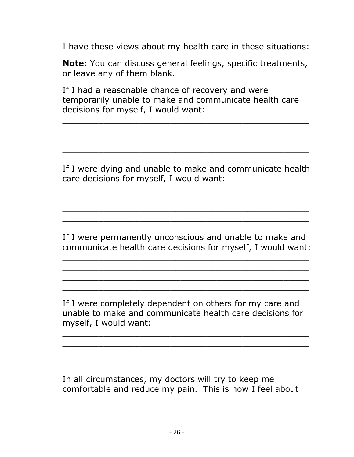I have these views about my health care in these situations:

 **Note:** You can discuss general feelings, specific treatments, or leave any of them blank.

 If I had a reasonable chance of recovery and were temporarily unable to make and communicate health care decisions for myself, I would want:

\_\_\_\_\_\_\_\_\_\_\_\_\_\_\_\_\_\_\_\_\_\_\_\_\_\_\_\_\_\_\_\_\_\_\_\_\_\_\_\_\_\_\_\_\_\_\_\_ \_\_\_\_\_\_\_\_\_\_\_\_\_\_\_\_\_\_\_\_\_\_\_\_\_\_\_\_\_\_\_\_\_\_\_\_\_\_\_\_\_\_\_\_\_\_\_\_ \_\_\_\_\_\_\_\_\_\_\_\_\_\_\_\_\_\_\_\_\_\_\_\_\_\_\_\_\_\_\_\_\_\_\_\_\_\_\_\_\_\_\_\_\_\_\_\_ \_\_\_\_\_\_\_\_\_\_\_\_\_\_\_\_\_\_\_\_\_\_\_\_\_\_\_\_\_\_\_\_\_\_\_\_\_\_\_\_\_\_\_\_\_\_\_\_

 If I were dying and unable to make and communicate health care decisions for myself, I would want:

\_\_\_\_\_\_\_\_\_\_\_\_\_\_\_\_\_\_\_\_\_\_\_\_\_\_\_\_\_\_\_\_\_\_\_\_\_\_\_\_\_\_\_\_\_\_\_\_ \_\_\_\_\_\_\_\_\_\_\_\_\_\_\_\_\_\_\_\_\_\_\_\_\_\_\_\_\_\_\_\_\_\_\_\_\_\_\_\_\_\_\_\_\_\_\_\_ \_\_\_\_\_\_\_\_\_\_\_\_\_\_\_\_\_\_\_\_\_\_\_\_\_\_\_\_\_\_\_\_\_\_\_\_\_\_\_\_\_\_\_\_\_\_\_\_ \_\_\_\_\_\_\_\_\_\_\_\_\_\_\_\_\_\_\_\_\_\_\_\_\_\_\_\_\_\_\_\_\_\_\_\_\_\_\_\_\_\_\_\_\_\_\_\_

 If I were permanently unconscious and unable to make and communicate health care decisions for myself, I would want:

\_\_\_\_\_\_\_\_\_\_\_\_\_\_\_\_\_\_\_\_\_\_\_\_\_\_\_\_\_\_\_\_\_\_\_\_\_\_\_\_\_\_\_\_\_\_\_\_ \_\_\_\_\_\_\_\_\_\_\_\_\_\_\_\_\_\_\_\_\_\_\_\_\_\_\_\_\_\_\_\_\_\_\_\_\_\_\_\_\_\_\_\_\_\_\_\_ \_\_\_\_\_\_\_\_\_\_\_\_\_\_\_\_\_\_\_\_\_\_\_\_\_\_\_\_\_\_\_\_\_\_\_\_\_\_\_\_\_\_\_\_\_\_\_\_ \_\_\_\_\_\_\_\_\_\_\_\_\_\_\_\_\_\_\_\_\_\_\_\_\_\_\_\_\_\_\_\_\_\_\_\_\_\_\_\_\_\_\_\_\_\_\_\_

 If I were completely dependent on others for my care and unable to make and communicate health care decisions for myself, I would want:

\_\_\_\_\_\_\_\_\_\_\_\_\_\_\_\_\_\_\_\_\_\_\_\_\_\_\_\_\_\_\_\_\_\_\_\_\_\_\_\_\_\_\_\_\_\_\_\_ \_\_\_\_\_\_\_\_\_\_\_\_\_\_\_\_\_\_\_\_\_\_\_\_\_\_\_\_\_\_\_\_\_\_\_\_\_\_\_\_\_\_\_\_\_\_\_\_ \_\_\_\_\_\_\_\_\_\_\_\_\_\_\_\_\_\_\_\_\_\_\_\_\_\_\_\_\_\_\_\_\_\_\_\_\_\_\_\_\_\_\_\_\_\_\_\_ \_\_\_\_\_\_\_\_\_\_\_\_\_\_\_\_\_\_\_\_\_\_\_\_\_\_\_\_\_\_\_\_\_\_\_\_\_\_\_\_\_\_\_\_\_\_\_\_

 In all circumstances, my doctors will try to keep me comfortable and reduce my pain. This is how I feel about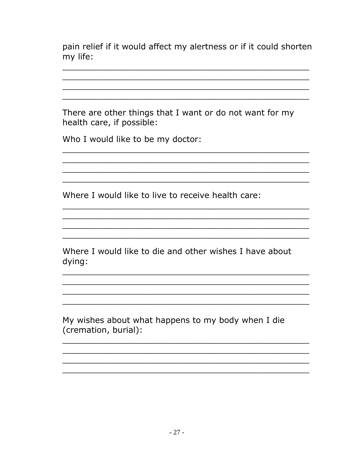pain relief if it would affect my alertness or if it could shorten my life:

There are other things that I want or do not want for my health care, if possible:

Who I would like to be my doctor:

Where I would like to live to receive health care:

Where I would like to die and other wishes I have about dying:

My wishes about what happens to my body when I die (cremation, burial):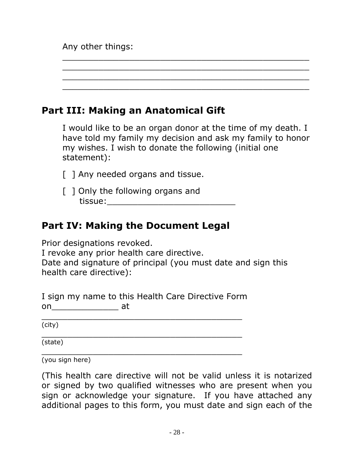Any other things:

\_\_\_\_\_\_\_\_\_\_\_\_\_\_\_\_\_\_\_\_\_\_\_\_\_\_\_\_\_\_\_\_\_\_\_\_\_\_\_\_\_\_\_\_\_\_\_\_ \_\_\_\_\_\_\_\_\_\_\_\_\_\_\_\_\_\_\_\_\_\_\_\_\_\_\_\_\_\_\_\_\_\_\_\_\_\_\_\_\_\_\_\_\_\_\_\_ \_\_\_\_\_\_\_\_\_\_\_\_\_\_\_\_\_\_\_\_\_\_\_\_\_\_\_\_\_\_\_\_\_\_\_\_\_\_\_\_\_\_\_\_\_\_\_\_ **Part III: Making an Anatomical Gift** 

\_\_\_\_\_\_\_\_\_\_\_\_\_\_\_\_\_\_\_\_\_\_\_\_\_\_\_\_\_\_\_\_\_\_\_\_\_\_\_\_\_\_\_\_\_\_\_\_

 I would like to be an organ donor at the time of my death. I have told my family my decision and ask my family to honor my wishes. I wish to donate the following (initial one statement):

[ ] Any needed organs and tissue.

[ ] Only the following organs and tissue:\_\_\_\_\_\_\_\_\_\_\_\_\_\_\_\_\_\_\_\_\_\_\_\_\_

### **Part IV: Making the Document Legal**

Prior designations revoked.

I revoke any prior health care directive.

Date and signature of principal (you must date and sign this health care directive):

I sign my name to this Health Care Directive Form on\_\_\_\_\_\_\_\_\_\_\_\_\_ at

\_\_\_\_\_\_\_\_\_\_\_\_\_\_\_\_\_\_\_\_\_\_\_\_\_\_\_\_\_\_\_\_\_\_\_\_\_\_\_ (city)

\_\_\_\_\_\_\_\_\_\_\_\_\_\_\_\_\_\_\_\_\_\_\_\_\_\_\_\_\_\_\_\_\_\_\_\_\_\_\_ (state)

\_\_\_\_\_\_\_\_\_\_\_\_\_\_\_\_\_\_\_\_\_\_\_\_\_\_\_\_\_\_\_\_\_\_\_\_\_\_\_ (you sign here)

(This health care directive will not be valid unless it is notarized or signed by two qualified witnesses who are present when you sign or acknowledge your signature. If you have attached any additional pages to this form, you must date and sign each of the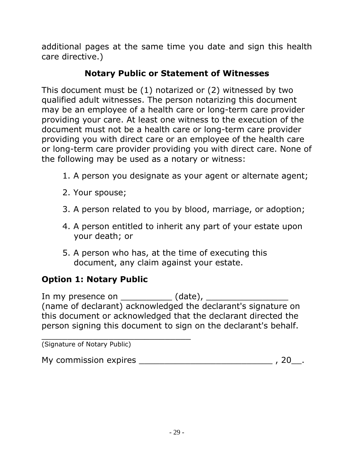additional pages at the same time you date and sign this health care directive.)

#### **Notary Public or Statement of Witnesses**

This document must be (1) notarized or (2) witnessed by two qualified adult witnesses. The person notarizing this document may be an employee of a health care or long-term care provider providing your care. At least one witness to the execution of the document must not be a health care or long-term care provider providing you with direct care or an employee of the health care or long-term care provider providing you with direct care. None of the following may be used as a notary or witness:

- 1. A person you designate as your agent or alternate agent;
- 2. Your spouse;
- 3. A person related to you by blood, marriage, or adoption;
- 4. A person entitled to inherit any part of your estate upon your death; or
- 5. A person who has, at the time of executing this document, any claim against your estate.

#### **Option 1: Notary Public**

In my presence on  $\_$  (date),  $\_$ (name of declarant) acknowledged the declarant's signature on this document or acknowledged that the declarant directed the person signing this document to sign on the declarant's behalf.

(Signature of Notary Public)

\_\_\_\_\_\_\_\_\_\_\_\_\_\_\_\_\_\_\_\_\_\_\_\_\_\_\_\_\_

My commission expires \_\_\_\_\_\_\_\_\_\_\_\_\_\_\_\_\_\_\_\_\_\_\_\_\_\_ , 20\_\_.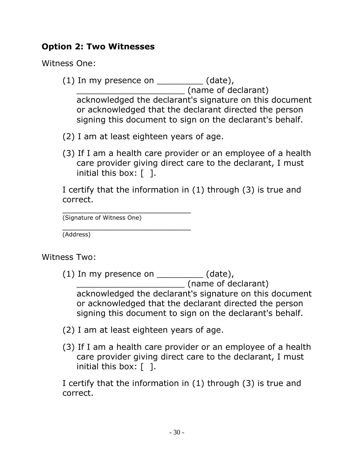#### **Option 2: Two Witnesses**

Witness One:

(1) In my presence on  $\qquad \qquad$  (date), \_\_\_\_\_\_\_\_\_\_\_\_\_\_\_\_\_\_\_\_\_ (name of declarant) acknowledged the declarant's signature on this document or acknowledged that the declarant directed the person signing this document to sign on the declarant's behalf.

- (2) I am at least eighteen years of age.
- (3) If I am a health care provider or an employee of a health care provider giving direct care to the declarant, I must initial this box: [ ].

I certify that the information in (1) through (3) is true and correct.

(Signature of Witness One)

\_\_\_\_\_\_\_\_\_\_\_\_\_\_\_\_\_\_\_\_\_\_\_\_\_

\_\_\_\_\_\_\_\_\_\_\_\_\_\_\_\_\_\_\_\_\_\_\_\_\_ (Address)

#### Witness Two:

(1) In my presence on  $\_\_\_\_\_\_\_\_\_\_\_$  (date), \_\_\_\_\_\_\_\_\_\_\_\_\_\_\_\_\_\_\_\_\_ (name of declarant) acknowledged the declarant's signature on this document or acknowledged that the declarant directed the person signing this document to sign on the declarant's behalf.

- (2) I am at least eighteen years of age.
- (3) If I am a health care provider or an employee of a health care provider giving direct care to the declarant, I must initial this box: [ ].

I certify that the information in (1) through (3) is true and correct.